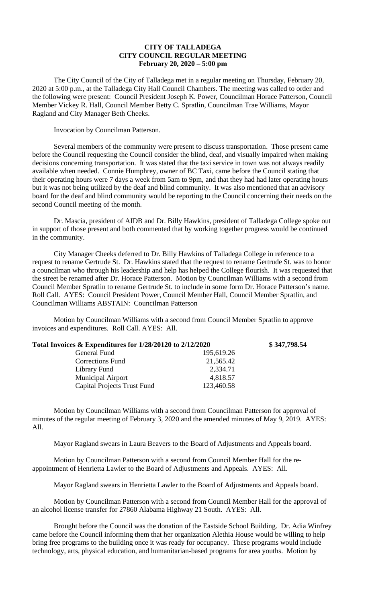## **CITY OF TALLADEGA CITY COUNCIL REGULAR MEETING February 20, 2020 – 5:00 pm**

The City Council of the City of Talladega met in a regular meeting on Thursday, February 20, 2020 at 5:00 p.m., at the Talladega City Hall Council Chambers. The meeting was called to order and the following were present: Council President Joseph K. Power, Councilman Horace Patterson, Council Member Vickey R. Hall, Council Member Betty C. Spratlin, Councilman Trae Williams, Mayor Ragland and City Manager Beth Cheeks.

Invocation by Councilman Patterson.

Several members of the community were present to discuss transportation. Those present came before the Council requesting the Council consider the blind, deaf, and visually impaired when making decisions concerning transportation. It was stated that the taxi service in town was not always readily available when needed. Connie Humphrey, owner of BC Taxi, came before the Council stating that their operating hours were 7 days a week from 5am to 9pm, and that they had had later operating hours but it was not being utilized by the deaf and blind community. It was also mentioned that an advisory board for the deaf and blind community would be reporting to the Council concerning their needs on the second Council meeting of the month.

Dr. Mascia, president of AIDB and Dr. Billy Hawkins, president of Talladega College spoke out in support of those present and both commented that by working together progress would be continued in the community.

City Manager Cheeks deferred to Dr. Billy Hawkins of Talladega College in reference to a request to rename Gertrude St. Dr. Hawkins stated that the request to rename Gertrude St. was to honor a councilman who through his leadership and help has helped the College flourish. It was requested that the street be renamed after Dr. Horace Patterson. Motion by Councilman Williams with a second from Council Member Spratlin to rename Gertrude St. to include in some form Dr. Horace Patterson's name. Roll Call. AYES: Council President Power, Council Member Hall, Council Member Spratlin, and Councilman Williams ABSTAIN: Councilman Patterson

Motion by Councilman Williams with a second from Council Member Spratlin to approve invoices and expenditures. Roll Call. AYES: All.

| Total Invoices $\&$ Expenditures for 1/28/20120 to 2/12/2020 |            | \$347,798.54 |
|--------------------------------------------------------------|------------|--------------|
| General Fund                                                 | 195,619.26 |              |
| <b>Corrections Fund</b>                                      | 21,565.42  |              |
| Library Fund                                                 | 2,334.71   |              |
| <b>Municipal Airport</b>                                     | 4,818.57   |              |
| <b>Capital Projects Trust Fund</b>                           | 123,460.58 |              |

Motion by Councilman Williams with a second from Councilman Patterson for approval of minutes of the regular meeting of February 3, 2020 and the amended minutes of May 9, 2019. AYES: All.

Mayor Ragland swears in Laura Beavers to the Board of Adjustments and Appeals board.

Motion by Councilman Patterson with a second from Council Member Hall for the reappointment of Henrietta Lawler to the Board of Adjustments and Appeals. AYES: All.

Mayor Ragland swears in Henrietta Lawler to the Board of Adjustments and Appeals board.

Motion by Councilman Patterson with a second from Council Member Hall for the approval of an alcohol license transfer for 27860 Alabama Highway 21 South. AYES: All.

Brought before the Council was the donation of the Eastside School Building. Dr. Adia Winfrey came before the Council informing them that her organization Alethia House would be willing to help bring free programs to the building once it was ready for occupancy. These programs would include technology, arts, physical education, and humanitarian-based programs for area youths. Motion by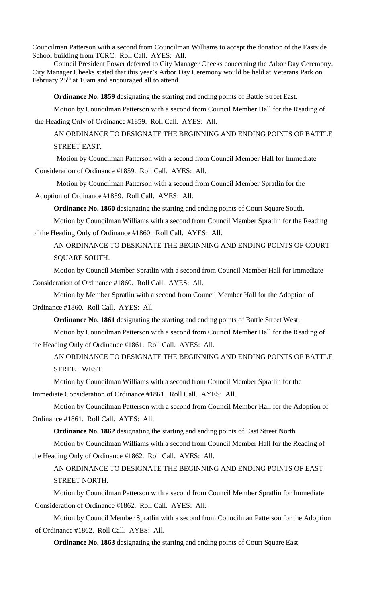Councilman Patterson with a second from Councilman Williams to accept the donation of the Eastside School building from TCRC. Roll Call. AYES: All.

Council President Power deferred to City Manager Cheeks concerning the Arbor Day Ceremony. City Manager Cheeks stated that this year's Arbor Day Ceremony would be held at Veterans Park on February 25<sup>th</sup> at 10am and encouraged all to attend.

**Ordinance No. 1859** designating the starting and ending points of Battle Street East.

Motion by Councilman Patterson with a second from Council Member Hall for the Reading of the Heading Only of Ordinance #1859. Roll Call. AYES: All.

AN ORDINANCE TO DESIGNATE THE BEGINNING AND ENDING POINTS OF BATTLE STREET EAST.

Motion by Councilman Patterson with a second from Council Member Hall for Immediate Consideration of Ordinance #1859. Roll Call. AYES: All.

Motion by Councilman Patterson with a second from Council Member Spratlin for the Adoption of Ordinance #1859. Roll Call. AYES: All.

**Ordinance No. 1860** designating the starting and ending points of Court Square South.

Motion by Councilman Williams with a second from Council Member Spratlin for the Reading of the Heading Only of Ordinance #1860. Roll Call. AYES: All.

AN ORDINANCE TO DESIGNATE THE BEGINNING AND ENDING POINTS OF COURT SQUARE SOUTH.

Motion by Council Member Spratlin with a second from Council Member Hall for Immediate Consideration of Ordinance #1860. Roll Call. AYES: All.

Motion by Member Spratlin with a second from Council Member Hall for the Adoption of Ordinance #1860. Roll Call. AYES: All.

**Ordinance No. 1861** designating the starting and ending points of Battle Street West.

Motion by Councilman Patterson with a second from Council Member Hall for the Reading of the Heading Only of Ordinance #1861. Roll Call. AYES: All.

AN ORDINANCE TO DESIGNATE THE BEGINNING AND ENDING POINTS OF BATTLE STREET WEST.

Motion by Councilman Williams with a second from Council Member Spratlin for the Immediate Consideration of Ordinance #1861. Roll Call. AYES: All.

Motion by Councilman Patterson with a second from Council Member Hall for the Adoption of Ordinance #1861. Roll Call. AYES: All.

**Ordinance No. 1862** designating the starting and ending points of East Street North Motion by Councilman Williams with a second from Council Member Hall for the Reading of

the Heading Only of Ordinance #1862. Roll Call. AYES: All.

AN ORDINANCE TO DESIGNATE THE BEGINNING AND ENDING POINTS OF EAST STREET NORTH.

Motion by Councilman Patterson with a second from Council Member Spratlin for Immediate Consideration of Ordinance #1862. Roll Call. AYES: All.

Motion by Council Member Spratlin with a second from Councilman Patterson for the Adoption of Ordinance #1862. Roll Call. AYES: All.

**Ordinance No. 1863** designating the starting and ending points of Court Square East